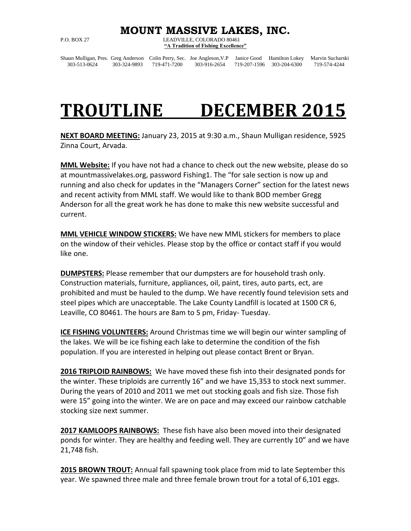## **MOUNT MASSIVE LAKES, INC.**

P.O. BOX 27 LEADVILLE, COLORADO 80461 **"A Tradition of Fishing Excellence"**

Shaun Mulligan, Pres. Greg Anderson Colin Perry, Sec. Joe Angleson,V.P Janice Good Hamilton Lokey Marvin Sucharski 303-513-0624 303-324-9893 719-471-7200 303-916-2654 719-207-1596 303-204-6300 719-574-4244

## **TROUTLINE DECEMBER 2015**

**NEXT BOARD MEETING:** January 23, 2015 at 9:30 a.m., Shaun Mulligan residence, 5925 Zinna Court, Arvada.

**MML Website:** If you have not had a chance to check out the new website, please do so at mountmassivelakes.org, password Fishing1. The "for sale section is now up and running and also check for updates in the "Managers Corner" section for the latest news and recent activity from MML staff. We would like to thank BOD member Gregg Anderson for all the great work he has done to make this new website successful and current.

**MML VEHICLE WINDOW STICKERS:** We have new MML stickers for members to place on the window of their vehicles. Please stop by the office or contact staff if you would like one.

**DUMPSTERS:** Please remember that our dumpsters are for household trash only. Construction materials, furniture, appliances, oil, paint, tires, auto parts, ect, are prohibited and must be hauled to the dump. We have recently found television sets and steel pipes which are unacceptable. The Lake County Landfill is located at 1500 CR 6, Leaville, CO 80461. The hours are 8am to 5 pm, Friday- Tuesday.

**ICE FISHING VOLUNTEERS:** Around Christmas time we will begin our winter sampling of the lakes. We will be ice fishing each lake to determine the condition of the fish population. If you are interested in helping out please contact Brent or Bryan.

**2016 TRIPLOID RAINBOWS:** We have moved these fish into their designated ponds for the winter. These triploids are currently 16" and we have 15,353 to stock next summer. During the years of 2010 and 2011 we met out stocking goals and fish size. Those fish were 15" going into the winter. We are on pace and may exceed our rainbow catchable stocking size next summer.

**2017 KAMLOOPS RAINBOWS:** These fish have also been moved into their designated ponds for winter. They are healthy and feeding well. They are currently 10" and we have 21,748 fish.

**2015 BROWN TROUT:** Annual fall spawning took place from mid to late September this year. We spawned three male and three female brown trout for a total of 6,101 eggs.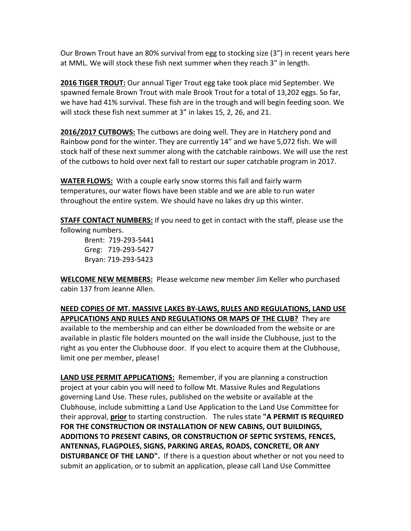Our Brown Trout have an 80% survival from egg to stocking size (3") in recent years here at MML. We will stock these fish next summer when they reach 3" in length.

**2016 TIGER TROUT:** Our annual Tiger Trout egg take took place mid September. We spawned female Brown Trout with male Brook Trout for a total of 13,202 eggs. So far, we have had 41% survival. These fish are in the trough and will begin feeding soon. We will stock these fish next summer at 3" in lakes 15, 2, 26, and 21.

**2016/2017 CUTBOWS:** The cutbows are doing well. They are in Hatchery pond and Rainbow pond for the winter. They are currently 14" and we have 5,072 fish. We will stock half of these next summer along with the catchable rainbows. We will use the rest of the cutbows to hold over next fall to restart our super catchable program in 2017.

**WATER FLOWS:** With a couple early snow storms this fall and fairly warm temperatures, our water flows have been stable and we are able to run water throughout the entire system. We should have no lakes dry up this winter.

**STAFF CONTACT NUMBERS:** If you need to get in contact with the staff, please use the

following numbers.

Brent: 719-293-5441 Greg: 719-293-5427 Bryan: 719-293-5423

**WELCOME NEW MEMBERS:** Please welcome new member Jim Keller who purchased cabin 137 from Jeanne Allen.

**NEED COPIES OF MT. MASSIVE LAKES BY-LAWS, RULES AND REGULATIONS, LAND USE APPLICATIONS AND RULES AND REGULATIONS OR MAPS OF THE CLUB?** They are available to the membership and can either be downloaded from the website or are available in plastic file holders mounted on the wall inside the Clubhouse, just to the right as you enter the Clubhouse door. If you elect to acquire them at the Clubhouse, limit one per member, please!

**LAND USE PERMIT APPLICATIONS:** Remember, if you are planning a construction project at your cabin you will need to follow Mt. Massive Rules and Regulations governing Land Use. These rules, published on the website or available at the Clubhouse, include submitting a Land Use Application to the Land Use Committee for their approval, **prior** to starting construction. The rules state **"A PERMIT IS REQUIRED FOR THE CONSTRUCTION OR INSTALLATION OF NEW CABINS, OUT BUILDINGS, ADDITIONS TO PRESENT CABINS, OR CONSTRUCTION OF SEPTIC SYSTEMS, FENCES, ANTENNAS, FLAGPOLES, SIGNS, PARKING AREAS, ROADS, CONCRETE, OR ANY DISTURBANCE OF THE LAND".** If there is a question about whether or not you need to submit an application, or to submit an application, please call Land Use Committee